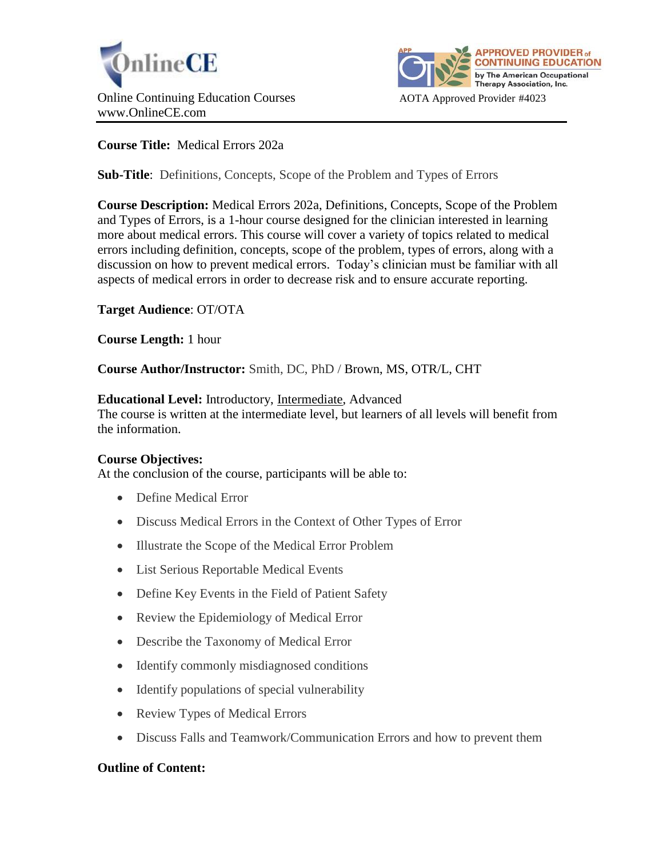



# **Course Title:** Medical Errors 202a

**Sub-Title**: Definitions, Concepts, Scope of the Problem and Types of Errors

**Course Description:** Medical Errors 202a, Definitions, Concepts, Scope of the Problem and Types of Errors, is a 1-hour course designed for the clinician interested in learning more about medical errors. This course will cover a variety of topics related to medical errors including definition, concepts, scope of the problem, types of errors, along with a discussion on how to prevent medical errors. Today's clinician must be familiar with all aspects of medical errors in order to decrease risk and to ensure accurate reporting.

**Target Audience**: OT/OTA

**Course Length:** 1 hour

**Course Author/Instructor:** Smith, DC, PhD / Brown, MS, OTR/L, CHT

**Educational Level:** Introductory, Intermediate, Advanced

The course is written at the intermediate level, but learners of all levels will benefit from the information.

## **Course Objectives:**

At the conclusion of the course, participants will be able to:

- Define Medical Error
- Discuss Medical Errors in the Context of Other Types of Error
- Illustrate the Scope of the Medical Error Problem
- List Serious Reportable Medical Events
- Define Key Events in the Field of Patient Safety
- Review the Epidemiology of Medical Error
- Describe the Taxonomy of Medical Error
- Identify commonly misdiagnosed conditions
- Identify populations of special vulnerability
- Review Types of Medical Errors
- Discuss Falls and Teamwork/Communication Errors and how to prevent them

## **Outline of Content:**